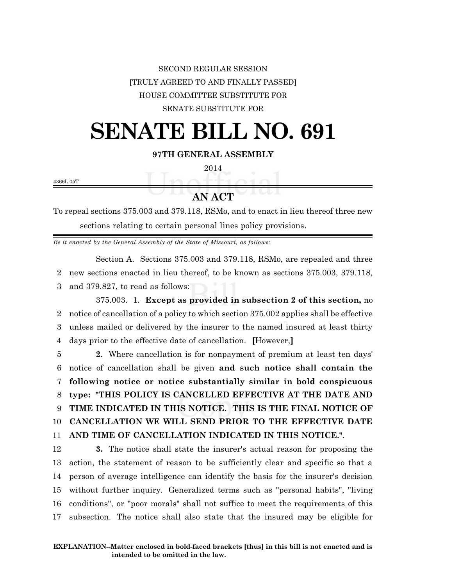## SECOND REGULAR SESSION **[**TRULY AGREED TO AND FINALLY PASSED**]** HOUSE COMMITTEE SUBSTITUTE FOR SENATE SUBSTITUTE FOR

## **SENATE BILL NO. 691**

**97TH GENERAL ASSEMBLY**

2014

4366L.05T

## **AN ACT**

To repeal sections 375.003 and 379.118, RSMo, and to enact in lieu thereof three new sections relating to certain personal lines policy provisions.

*Be it enacted by the General Assembly of the State of Missouri, as follows:*

Section A. Sections 375.003 and 379.118, RSMo, are repealed and three

2 new sections enacted in lieu thereof, to be known as sections 375.003, 379.118,

3 and 379.827, to read as follows:

375.003. 1. **Except as provided in subsection 2 of this section,** no notice of cancellation of a policy to which section 375.002 applies shall be effective unless mailed or delivered by the insurer to the named insured at least thirty days prior to the effective date of cancellation. **[**However,**]**

 **2.** Where cancellation is for nonpayment of premium at least ten days' notice of cancellation shall be given **and such notice shall contain the following notice or notice substantially similar in bold conspicuous type: "THIS POLICY IS CANCELLED EFFECTIVE AT THE DATE AND TIME INDICATED IN THIS NOTICE. THIS IS THE FINAL NOTICE OF CANCELLATION WE WILL SEND PRIOR TO THE EFFECTIVE DATE AND TIME OF CANCELLATION INDICATED IN THIS NOTICE."**.

 **3.** The notice shall state the insurer's actual reason for proposing the action, the statement of reason to be sufficiently clear and specific so that a person of average intelligence can identify the basis for the insurer's decision without further inquiry. Generalized terms such as "personal habits", "living conditions", or "poor morals" shall not suffice to meet the requirements of this subsection. The notice shall also state that the insured may be eligible for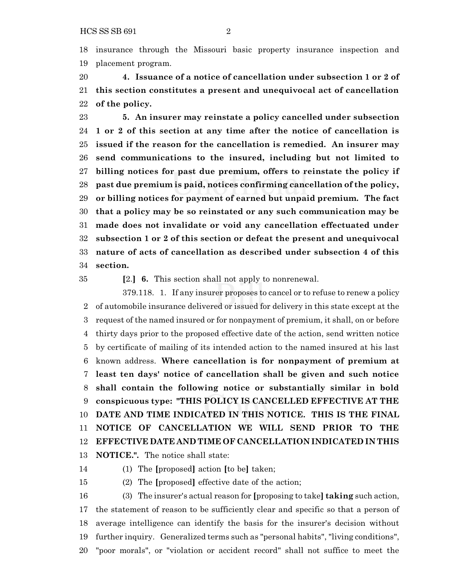insurance through the Missouri basic property insurance inspection and placement program.

 **4. Issuance of a notice of cancellation under subsection 1 or 2 of this section constitutes a present and unequivocal act of cancellation of the policy.**

 **5. An insurer may reinstate a policy cancelled under subsection 1 or 2 of this section at any time after the notice of cancellation is issued if the reason for the cancellation is remedied. An insurer may send communications to the insured, including but not limited to billing notices for past due premium, offers to reinstate the policy if past due premium is paid, notices confirming cancellation of the policy, or billing notices for payment of earned but unpaid premium. The fact that a policy may be so reinstated or any such communication may be made does not invalidate or void any cancellation effectuated under subsection 1 or 2 of this section or defeat the present and unequivocal nature of acts of cancellation as described under subsection 4 of this section.**

**[**2.**] 6.** This section shall not apply to nonrenewal.

379.118. 1. If any insurer proposes to cancel or to refuse to renew a policy of automobile insurance delivered or issued for delivery in this state except at the request of the named insured or for nonpayment of premium, it shall, on or before thirty days prior to the proposed effective date of the action, send written notice by certificate of mailing of its intended action to the named insured at his last known address. **Where cancellation is for nonpayment of premium at least ten days' notice of cancellation shall be given and such notice shall contain the following notice or substantially similar in bold conspicuous type: "THIS POLICY IS CANCELLED EFFECTIVE AT THE DATE AND TIME INDICATED IN THIS NOTICE. THIS IS THE FINAL NOTICE OF CANCELLATION WE WILL SEND PRIOR TO THE EFFECTIVE DATE AND TIME OF CANCELLATION INDICATED IN THIS NOTICE.".** The notice shall state:

(1) The **[**proposed**]** action **[**to be**]** taken;

(2) The **[**proposed**]** effective date of the action;

 (3) The insurer's actual reason for **[**proposing to take**] taking** such action, the statement of reason to be sufficiently clear and specific so that a person of average intelligence can identify the basis for the insurer's decision without further inquiry. Generalized terms such as "personal habits", "living conditions", "poor morals", or "violation or accident record" shall not suffice to meet the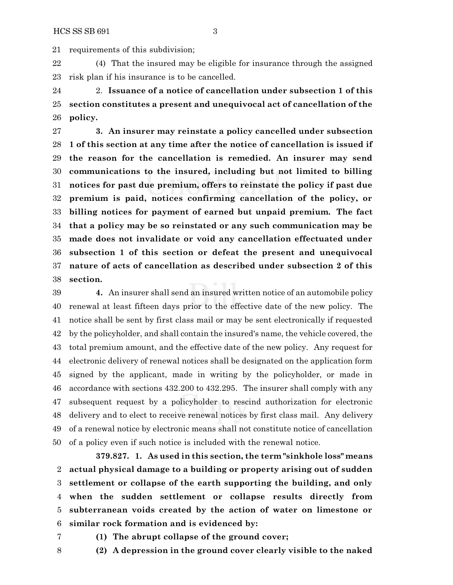requirements of this subdivision;

 (4) That the insured may be eligible for insurance through the assigned risk plan if his insurance is to be cancelled.

 2. **Issuance of a notice of cancellation under subsection 1 of this section constitutes a present and unequivocal act of cancellation of the policy.**

 **3. An insurer may reinstate a policy cancelled under subsection 1 of this section at any time after the notice of cancellation is issued if the reason for the cancellation is remedied. An insurer may send communications to the insured, including but not limited to billing notices for past due premium, offers to reinstate the policy if past due premium is paid, notices confirming cancellation of the policy, or billing notices for payment of earned but unpaid premium. The fact that a policy may be so reinstated or any such communication may be made does not invalidate or void any cancellation effectuated under subsection 1 of this section or defeat the present and unequivocal nature of acts of cancellation as described under subsection 2 of this section.**

 **4.** An insurer shall send an insured written notice of an automobile policy renewal at least fifteen days prior to the effective date of the new policy. The notice shall be sent by first class mail or may be sent electronically if requested by the policyholder, and shall contain the insured's name, the vehicle covered, the total premium amount, and the effective date of the new policy. Any request for electronic delivery of renewal notices shall be designated on the application form signed by the applicant, made in writing by the policyholder, or made in accordance with sections 432.200 to 432.295. The insurer shall comply with any subsequent request by a policyholder to rescind authorization for electronic delivery and to elect to receive renewal notices by first class mail. Any delivery of a renewal notice by electronic means shall not constitute notice of cancellation of a policy even if such notice is included with the renewal notice.

**379.827. 1. As used in this section, the term "sinkhole loss" means actual physical damage to a building or property arising out of sudden settlement or collapse of the earth supporting the building, and only when the sudden settlement or collapse results directly from subterranean voids created by the action of water on limestone or similar rock formation and is evidenced by:**

- 
- **(1) The abrupt collapse of the ground cover;**
- 
- **(2) A depression in the ground cover clearly visible to the naked**